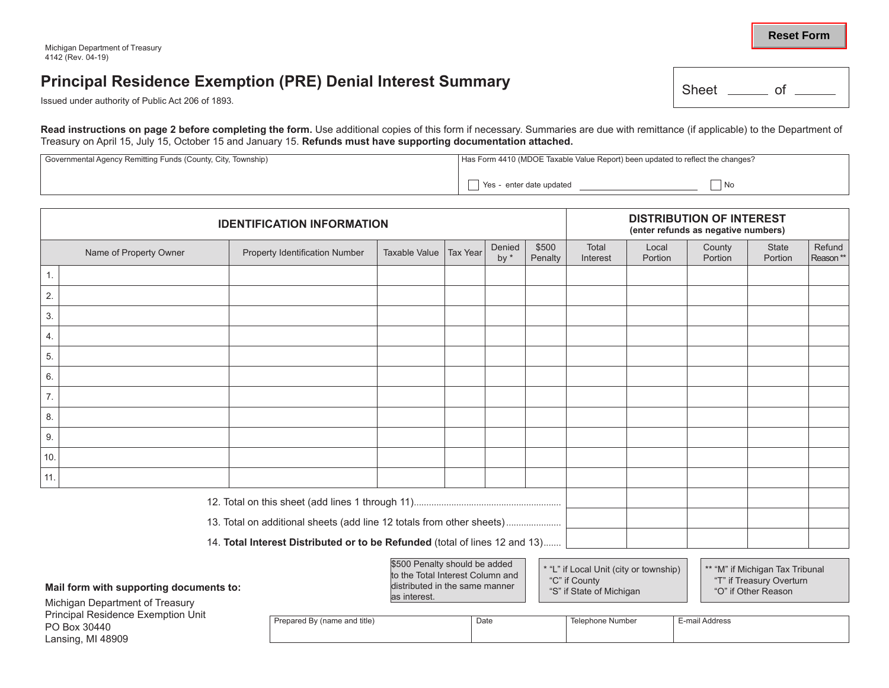## **Principal Residence Exemption (PRE) Denial Interest Summary**

Issued under authority of Public Act 206 of 1893.

Read instructions on page 2 before completing the form. Use additional copies of this form if necessary. Summaries are due with remittance (if applicable) to the Department of Treasury on April 15, July 15, October 15 and January 15. **Refunds must have supporting documentation attached.**

| Governmental Agency Remitting Funds (County, City, Township) | Has Form 4410 (MDOE Taxable Value Report) been updated to reflect the changes? |  |  |  |  |
|--------------------------------------------------------------|--------------------------------------------------------------------------------|--|--|--|--|
|                                                              | No<br>Yes - enter date updated                                                 |  |  |  |  |

| <b>IDENTIFICATION INFORMATION</b>                                                                                                                                                                                                                                        |                        |                                       |                      |                                                 | <b>DISTRIBUTION OF INTEREST</b><br>(enter refunds as negative numbers) |                  |                   |                  |                   |                         |                    |
|--------------------------------------------------------------------------------------------------------------------------------------------------------------------------------------------------------------------------------------------------------------------------|------------------------|---------------------------------------|----------------------|-------------------------------------------------|------------------------------------------------------------------------|------------------|-------------------|------------------|-------------------|-------------------------|--------------------|
|                                                                                                                                                                                                                                                                          | Name of Property Owner | <b>Property Identification Number</b> | <b>Taxable Value</b> | <b>Tax Year</b>                                 | Denied<br>by $*$                                                       | \$500<br>Penalty | Total<br>Interest | Local<br>Portion | County<br>Portion | <b>State</b><br>Portion | Refund<br>Reason** |
| 1.                                                                                                                                                                                                                                                                       |                        |                                       |                      |                                                 |                                                                        |                  |                   |                  |                   |                         |                    |
| 2.                                                                                                                                                                                                                                                                       |                        |                                       |                      |                                                 |                                                                        |                  |                   |                  |                   |                         |                    |
| 3.                                                                                                                                                                                                                                                                       |                        |                                       |                      |                                                 |                                                                        |                  |                   |                  |                   |                         |                    |
| 4.                                                                                                                                                                                                                                                                       |                        |                                       |                      |                                                 |                                                                        |                  |                   |                  |                   |                         |                    |
| 5.                                                                                                                                                                                                                                                                       |                        |                                       |                      |                                                 |                                                                        |                  |                   |                  |                   |                         |                    |
| 6.                                                                                                                                                                                                                                                                       |                        |                                       |                      |                                                 |                                                                        |                  |                   |                  |                   |                         |                    |
| 7.                                                                                                                                                                                                                                                                       |                        |                                       |                      |                                                 |                                                                        |                  |                   |                  |                   |                         |                    |
| 8.                                                                                                                                                                                                                                                                       |                        |                                       |                      |                                                 |                                                                        |                  |                   |                  |                   |                         |                    |
| 9.                                                                                                                                                                                                                                                                       |                        |                                       |                      |                                                 |                                                                        |                  |                   |                  |                   |                         |                    |
| 10.                                                                                                                                                                                                                                                                      |                        |                                       |                      |                                                 |                                                                        |                  |                   |                  |                   |                         |                    |
| 11.                                                                                                                                                                                                                                                                      |                        |                                       |                      |                                                 |                                                                        |                  |                   |                  |                   |                         |                    |
|                                                                                                                                                                                                                                                                          |                        |                                       |                      |                                                 |                                                                        |                  |                   |                  |                   |                         |                    |
| 13. Total on additional sheets (add line 12 totals from other sheets)                                                                                                                                                                                                    |                        |                                       |                      |                                                 |                                                                        |                  |                   |                  |                   |                         |                    |
| 14. Total Interest Distributed or to be Refunded (total of lines 12 and 13)                                                                                                                                                                                              |                        |                                       |                      |                                                 |                                                                        |                  |                   |                  |                   |                         |                    |
| \$500 Penalty should be added<br>* "L" if Local Unit (city or township)<br>** "M" if Michigan Tax Tribunal<br>to the Total Interest Column and<br>"C" if County<br>distributed in the same manner<br>Mail form with supporting documents to:<br>"S" if State of Michigan |                        |                                       |                      | "T" if Treasury Overturn<br>"O" if Other Reason |                                                                        |                  |                   |                  |                   |                         |                    |

as interest.

Michigan Department of Treasury Principal Residence Exemption Unit PO Box 30440 Lansing, MI 48909

| <b>By (name and title)</b><br>'repared | Date | اصهار<br>Numbei | ⊥-mai`<br>' Address |
|----------------------------------------|------|-----------------|---------------------|
|                                        |      |                 |                     |

"S" if State of Michigan



| Sheet |  |  |
|-------|--|--|
|       |  |  |